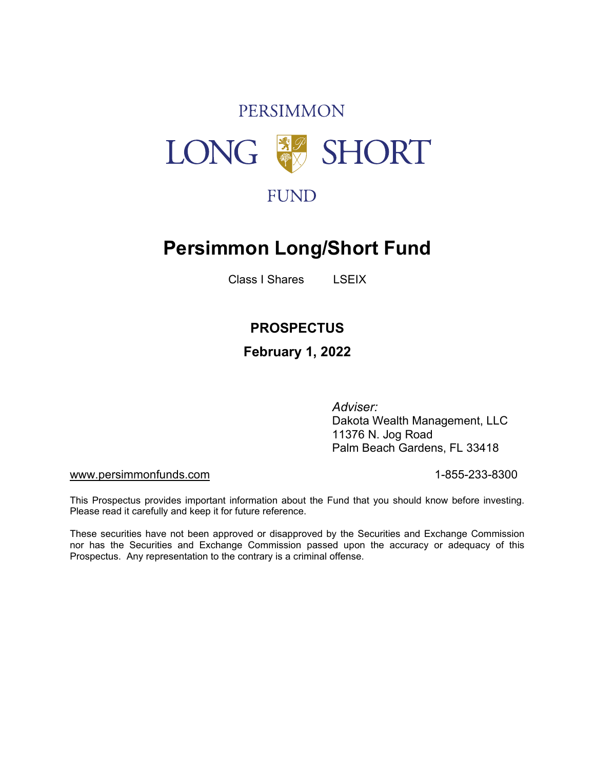# **PERSIMMON** LONG SHORT

## **Persimmon Long/Short Fund**

Class I Shares LSEIX

## **PROSPECTUS**

## **February 1, 2022**

*Adviser:* Dakota Wealth Management, LLC 11376 N. Jog Road Palm Beach Gardens, FL 33418

#### [www.persimmonfunds.com](http://www.persimmonfunds.com/) in the state of the state of the 1-855-233-8300

This Prospectus provides important information about the Fund that you should know before investing. Please read it carefully and keep it for future reference.

These securities have not been approved or disapproved by the Securities and Exchange Commission nor has the Securities and Exchange Commission passed upon the accuracy or adequacy of this Prospectus. Any representation to the contrary is a criminal offense.

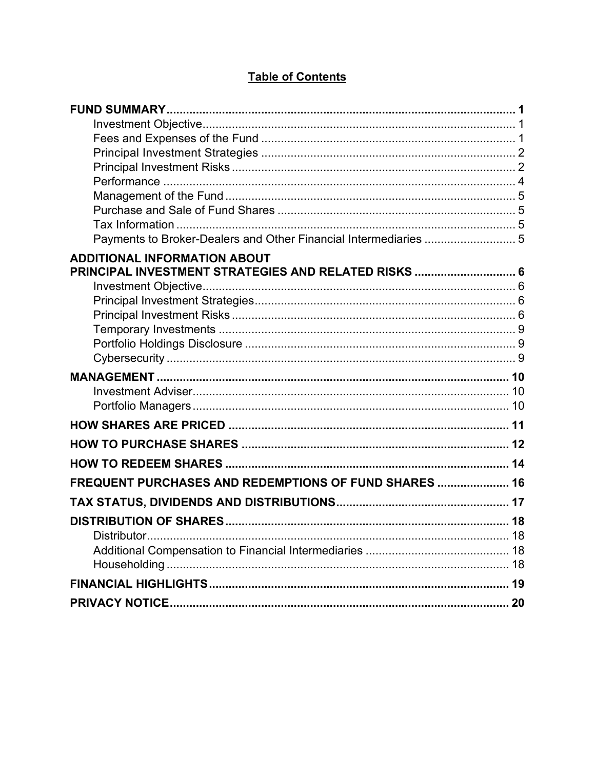| Payments to Broker-Dealers and Other Financial Intermediaries  5                            |  |
|---------------------------------------------------------------------------------------------|--|
| <b>ADDITIONAL INFORMATION ABOUT</b><br>PRINCIPAL INVESTMENT STRATEGIES AND RELATED RISKS  6 |  |
|                                                                                             |  |
|                                                                                             |  |
|                                                                                             |  |
|                                                                                             |  |
|                                                                                             |  |
| FREQUENT PURCHASES AND REDEMPTIONS OF FUND SHARES  16                                       |  |
|                                                                                             |  |
|                                                                                             |  |
|                                                                                             |  |
|                                                                                             |  |

## **Table of Contents**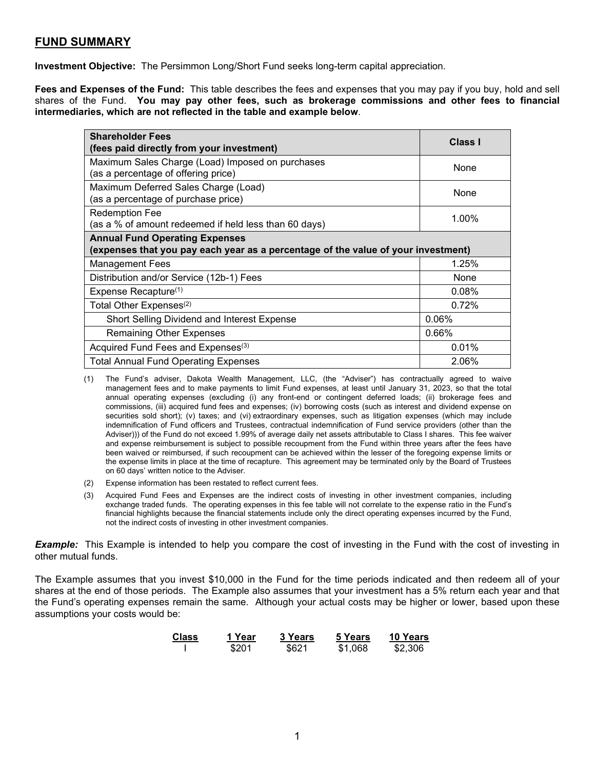### <span id="page-2-0"></span>**FUND SUMMARY**

<span id="page-2-1"></span>**Investment Objective:** The Persimmon Long/Short Fund seeks long-term capital appreciation.

<span id="page-2-2"></span>**Fees and Expenses of the Fund:** This table describes the fees and expenses that you may pay if you buy, hold and sell shares of the Fund. **You may pay other fees, such as brokerage commissions and other fees to financial intermediaries, which are not reflected in the table and example below**.

| <b>Shareholder Fees</b><br>(fees paid directly from your investment)                                                       | <b>Class I</b> |  |  |  |
|----------------------------------------------------------------------------------------------------------------------------|----------------|--|--|--|
| Maximum Sales Charge (Load) Imposed on purchases<br>(as a percentage of offering price)                                    | None           |  |  |  |
| Maximum Deferred Sales Charge (Load)<br>(as a percentage of purchase price)                                                | None           |  |  |  |
| <b>Redemption Fee</b><br>(as a % of amount redeemed if held less than 60 days)                                             | 1.00%          |  |  |  |
| <b>Annual Fund Operating Expenses</b><br>(expenses that you pay each year as a percentage of the value of your investment) |                |  |  |  |
| <b>Management Fees</b>                                                                                                     | 1.25%          |  |  |  |
| Distribution and/or Service (12b-1) Fees                                                                                   | None           |  |  |  |
| Expense Recapture <sup>(1)</sup>                                                                                           | 0.08%          |  |  |  |
| Total Other Expenses <sup>(2)</sup>                                                                                        | 0.72%          |  |  |  |
| Short Selling Dividend and Interest Expense                                                                                | 0.06%          |  |  |  |
| <b>Remaining Other Expenses</b>                                                                                            | 0.66%          |  |  |  |
| Acquired Fund Fees and Expenses <sup>(3)</sup>                                                                             | 0.01%          |  |  |  |
| <b>Total Annual Fund Operating Expenses</b>                                                                                | 2.06%          |  |  |  |

<sup>(1)</sup> The Fund's adviser, Dakota Wealth Management, LLC, (the "Adviser") has contractually agreed to waive management fees and to make payments to limit Fund expenses, at least until January 31, 2023, so that the total annual operating expenses (excluding (i) any front-end or contingent deferred loads; (ii) brokerage fees and commissions, (iii) acquired fund fees and expenses; (iv) borrowing costs (such as interest and dividend expense on securities sold short); (v) taxes; and (vi) extraordinary expenses, such as litigation expenses (which may include indemnification of Fund officers and Trustees, contractual indemnification of Fund service providers (other than the Adviser))) of the Fund do not exceed 1.99% of average daily net assets attributable to Class I shares. This fee waiver and expense reimbursement is subject to possible recoupment from the Fund within three years after the fees have been waived or reimbursed, if such recoupment can be achieved within the lesser of the foregoing expense limits or the expense limits in place at the time of recapture. This agreement may be terminated only by the Board of Trustees on 60 days' written notice to the Adviser.

- (2) Expense information has been restated to reflect current fees.
- (3) Acquired Fund Fees and Expenses are the indirect costs of investing in other investment companies, including exchange traded funds. The operating expenses in this fee table will not correlate to the expense ratio in the Fund's financial highlights because the financial statements include only the direct operating expenses incurred by the Fund, not the indirect costs of investing in other investment companies.

*Example:* This Example is intended to help you compare the cost of investing in the Fund with the cost of investing in other mutual funds.

The Example assumes that you invest \$10,000 in the Fund for the time periods indicated and then redeem all of your shares at the end of those periods. The Example also assumes that your investment has a 5% return each year and that the Fund's operating expenses remain the same. Although your actual costs may be higher or lower, based upon these assumptions your costs would be:

| <b>Class</b> | 1 Year | <b>3 Years</b> | 5 Years | <b>10 Years</b> |
|--------------|--------|----------------|---------|-----------------|
|              | \$201  | \$621          | \$1,068 | \$2,306         |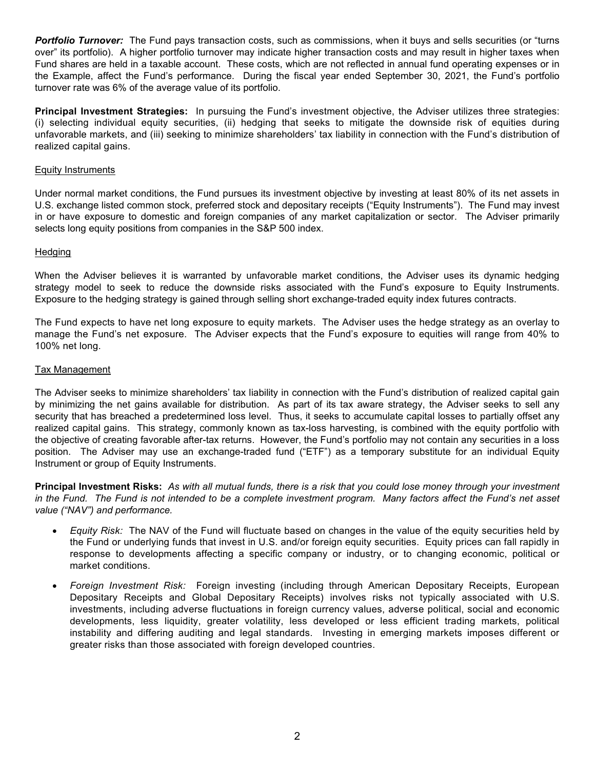**Portfolio Turnover:** The Fund pays transaction costs, such as commissions, when it buys and sells securities (or "turns") over" its portfolio). A higher portfolio turnover may indicate higher transaction costs and may result in higher taxes when Fund shares are held in a taxable account. These costs, which are not reflected in annual fund operating expenses or in the Example, affect the Fund's performance. During the fiscal year ended September 30, 2021, the Fund's portfolio turnover rate was 6% of the average value of its portfolio.

<span id="page-3-0"></span>**Principal Investment Strategies:** In pursuing the Fund's investment objective, the Adviser utilizes three strategies: (i) selecting individual equity securities, (ii) hedging that seeks to mitigate the downside risk of equities during unfavorable markets, and (iii) seeking to minimize shareholders' tax liability in connection with the Fund's distribution of realized capital gains.

#### **Equity Instruments**

Under normal market conditions, the Fund pursues its investment objective by investing at least 80% of its net assets in U.S. exchange listed common stock, preferred stock and depositary receipts ("Equity Instruments"). The Fund may invest in or have exposure to domestic and foreign companies of any market capitalization or sector. The Adviser primarily selects long equity positions from companies in the S&P 500 index.

#### **Hedging**

When the Adviser believes it is warranted by unfavorable market conditions, the Adviser uses its dynamic hedging strategy model to seek to reduce the downside risks associated with the Fund's exposure to Equity Instruments. Exposure to the hedging strategy is gained through selling short exchange-traded equity index futures contracts.

The Fund expects to have net long exposure to equity markets. The Adviser uses the hedge strategy as an overlay to manage the Fund's net exposure. The Adviser expects that the Fund's exposure to equities will range from 40% to 100% net long.

#### Tax Management

The Adviser seeks to minimize shareholders' tax liability in connection with the Fund's distribution of realized capital gain by minimizing the net gains available for distribution. As part of its tax aware strategy, the Adviser seeks to sell any security that has breached a predetermined loss level. Thus, it seeks to accumulate capital losses to partially offset any realized capital gains. This strategy, commonly known as tax-loss harvesting, is combined with the equity portfolio with the objective of creating favorable after-tax returns. However, the Fund's portfolio may not contain any securities in a loss position. The Adviser may use an exchange-traded fund ("ETF") as a temporary substitute for an individual Equity Instrument or group of Equity Instruments.

<span id="page-3-1"></span>**Principal Investment Risks:** *As with all mutual funds, there is a risk that you could lose money through your investment*  in the Fund. The Fund is not intended to be a complete investment program. Many factors affect the Fund's net asset *value ("NAV") and performance.* 

- *Equity Risk:* The NAV of the Fund will fluctuate based on changes in the value of the equity securities held by the Fund or underlying funds that invest in U.S. and/or foreign equity securities. Equity prices can fall rapidly in response to developments affecting a specific company or industry, or to changing economic, political or market conditions.
- *Foreign Investment Risk:* Foreign investing (including through American Depositary Receipts, European Depositary Receipts and Global Depositary Receipts) involves risks not typically associated with U.S. investments, including adverse fluctuations in foreign currency values, adverse political, social and economic developments, less liquidity, greater volatility, less developed or less efficient trading markets, political instability and differing auditing and legal standards. Investing in emerging markets imposes different or greater risks than those associated with foreign developed countries.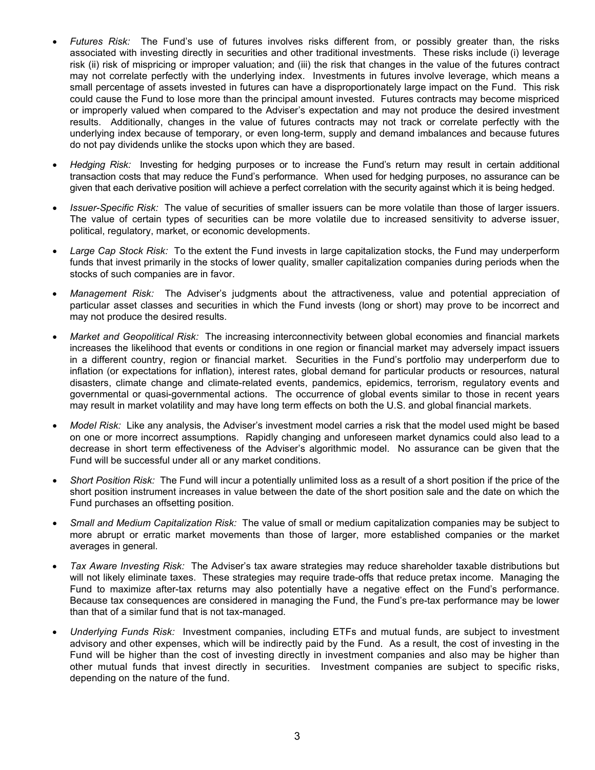- *Futures Risk:* The Fund's use of futures involves risks different from, or possibly greater than, the risks associated with investing directly in securities and other traditional investments. These risks include (i) leverage risk (ii) risk of mispricing or improper valuation; and (iii) the risk that changes in the value of the futures contract may not correlate perfectly with the underlying index. Investments in futures involve leverage, which means a small percentage of assets invested in futures can have a disproportionately large impact on the Fund. This risk could cause the Fund to lose more than the principal amount invested. Futures contracts may become mispriced or improperly valued when compared to the Adviser's expectation and may not produce the desired investment results. Additionally, changes in the value of futures contracts may not track or correlate perfectly with the underlying index because of temporary, or even long-term, supply and demand imbalances and because futures do not pay dividends unlike the stocks upon which they are based.
- *Hedging Risk:* Investing for hedging purposes or to increase the Fund's return may result in certain additional transaction costs that may reduce the Fund's performance. When used for hedging purposes, no assurance can be given that each derivative position will achieve a perfect correlation with the security against which it is being hedged.
- *Issuer-Specific Risk:* The value of securities of smaller issuers can be more volatile than those of larger issuers. The value of certain types of securities can be more volatile due to increased sensitivity to adverse issuer, political, regulatory, market, or economic developments.
- *Large Cap Stock Risk:* To the extent the Fund invests in large capitalization stocks, the Fund may underperform funds that invest primarily in the stocks of lower quality, smaller capitalization companies during periods when the stocks of such companies are in favor.
- *Management Risk:* The Adviser's judgments about the attractiveness, value and potential appreciation of particular asset classes and securities in which the Fund invests (long or short) may prove to be incorrect and may not produce the desired results.
- *Market and Geopolitical Risk:* The increasing interconnectivity between global economies and financial markets increases the likelihood that events or conditions in one region or financial market may adversely impact issuers in a different country, region or financial market. Securities in the Fund's portfolio may underperform due to inflation (or expectations for inflation), interest rates, global demand for particular products or resources, natural disasters, climate change and climate-related events, pandemics, epidemics, terrorism, regulatory events and governmental or quasi-governmental actions. The occurrence of global events similar to those in recent years may result in market volatility and may have long term effects on both the U.S. and global financial markets.
- *Model Risk:* Like any analysis, the Adviser's investment model carries a risk that the model used might be based on one or more incorrect assumptions. Rapidly changing and unforeseen market dynamics could also lead to a decrease in short term effectiveness of the Adviser's algorithmic model. No assurance can be given that the Fund will be successful under all or any market conditions.
- *Short Position Risk:* The Fund will incur a potentially unlimited loss as a result of a short position if the price of the short position instrument increases in value between the date of the short position sale and the date on which the Fund purchases an offsetting position.
- *Small and Medium Capitalization Risk:* The value of small or medium capitalization companies may be subject to more abrupt or erratic market movements than those of larger, more established companies or the market averages in general.
- *Tax Aware Investing Risk:* The Adviser's tax aware strategies may reduce shareholder taxable distributions but will not likely eliminate taxes. These strategies may require trade-offs that reduce pretax income. Managing the Fund to maximize after-tax returns may also potentially have a negative effect on the Fund's performance. Because tax consequences are considered in managing the Fund, the Fund's pre-tax performance may be lower than that of a similar fund that is not tax-managed.
- *Underlying Funds Risk:* Investment companies, including ETFs and mutual funds, are subject to investment advisory and other expenses, which will be indirectly paid by the Fund. As a result, the cost of investing in the Fund will be higher than the cost of investing directly in investment companies and also may be higher than other mutual funds that invest directly in securities. Investment companies are subject to specific risks, depending on the nature of the fund.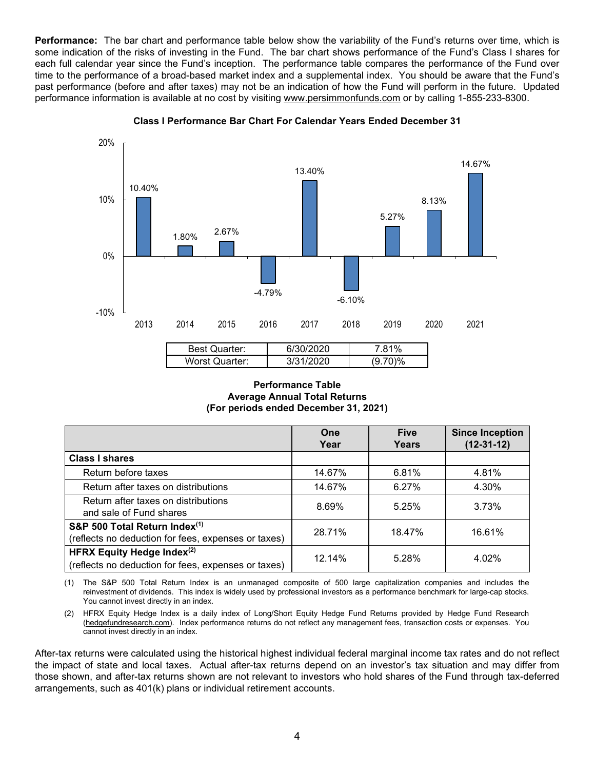<span id="page-5-0"></span>**Performance:** The bar chart and performance table below show the variability of the Fund's returns over time, which is some indication of the risks of investing in the Fund. The bar chart shows performance of the Fund's Class I shares for each full calendar year since the Fund's inception. The performance table compares the performance of the Fund over time to the performance of a broad-based market index and a supplemental index. You should be aware that the Fund's past performance (before and after taxes) may not be an indication of how the Fund will perform in the future. Updated performance information is available at no cost by visiting [www.persimmonfunds.com](http://www.persimmonfunds.com/) or by calling 1-855-233-8300.



**Class I Performance Bar Chart For Calendar Years Ended December 31**

#### **Performance Table Average Annual Total Returns (For periods ended December 31, 2021)**

|                                                                                          | One<br>Year | <b>Five</b><br>Years | <b>Since Inception</b><br>$(12-31-12)$ |
|------------------------------------------------------------------------------------------|-------------|----------------------|----------------------------------------|
| <b>Class I shares</b>                                                                    |             |                      |                                        |
| Return before taxes                                                                      | 14.67%      | 6.81%                | 4.81%                                  |
| Return after taxes on distributions                                                      | 14.67%      | 6.27%                | 4.30%                                  |
| Return after taxes on distributions<br>and sale of Fund shares                           | 8.69%       | 5.25%                | 3.73%                                  |
| S&P 500 Total Return Index(1)<br>(reflects no deduction for fees, expenses or taxes)     | 28.71%      | 18.47%               | 16.61%                                 |
| <b>HFRX Equity Hedge Index(2)</b><br>(reflects no deduction for fees, expenses or taxes) | 12.14%      | 5.28%                | 4.02%                                  |

(1) The S&P 500 Total Return Index is an unmanaged composite of 500 large capitalization companies and includes the reinvestment of dividends. This index is widely used by professional investors as a performance benchmark for large-cap stocks. You cannot invest directly in an index.

(2) HFRX Equity Hedge Index is a daily index of Long/Short Equity Hedge Fund Returns provided by Hedge Fund Research [\(hedgefundresearch.com\)](http://www.hedgefundresearch.com/). Index performance returns do not reflect any management fees, transaction costs or expenses. You cannot invest directly in an index.

After-tax returns were calculated using the historical highest individual federal marginal income tax rates and do not reflect the impact of state and local taxes. Actual after-tax returns depend on an investor's tax situation and may differ from those shown, and after-tax returns shown are not relevant to investors who hold shares of the Fund through tax-deferred arrangements, such as 401(k) plans or individual retirement accounts.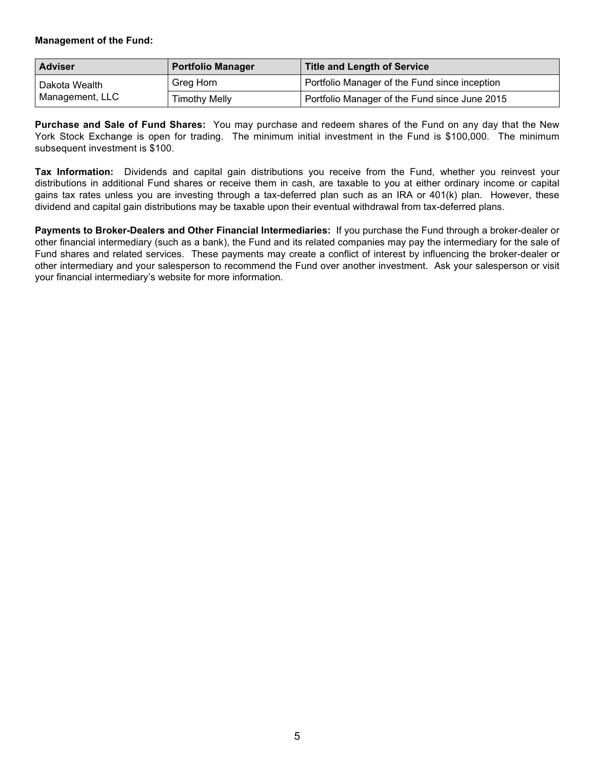#### <span id="page-6-0"></span>**Management of the Fund:**

| <b>Adviser</b>  | <b>Portfolio Manager</b> | <b>Title and Length of Service</b>            |
|-----------------|--------------------------|-----------------------------------------------|
| Dakota Wealth   | Greg Horn                | Portfolio Manager of the Fund since inception |
| Management, LLC | <b>Timothy Melly</b>     | Portfolio Manager of the Fund since June 2015 |

<span id="page-6-1"></span>**Purchase and Sale of Fund Shares:** You may purchase and redeem shares of the Fund on any day that the New York Stock Exchange is open for trading. The minimum initial investment in the Fund is \$100,000. The minimum subsequent investment is \$100.

<span id="page-6-2"></span>**Tax Information:** Dividends and capital gain distributions you receive from the Fund, whether you reinvest your distributions in additional Fund shares or receive them in cash, are taxable to you at either ordinary income or capital gains tax rates unless you are investing through a tax-deferred plan such as an IRA or 401(k) plan. However, these dividend and capital gain distributions may be taxable upon their eventual withdrawal from tax-deferred plans.

<span id="page-6-4"></span><span id="page-6-3"></span>**Payments to Broker-Dealers and Other Financial Intermediaries:** If you purchase the Fund through a broker-dealer or other financial intermediary (such as a bank), the Fund and its related companies may pay the intermediary for the sale of Fund shares and related services. These payments may create a conflict of interest by influencing the broker-dealer or other intermediary and your salesperson to recommend the Fund over another investment. Ask your salesperson or visit your financial intermediary's website for more information.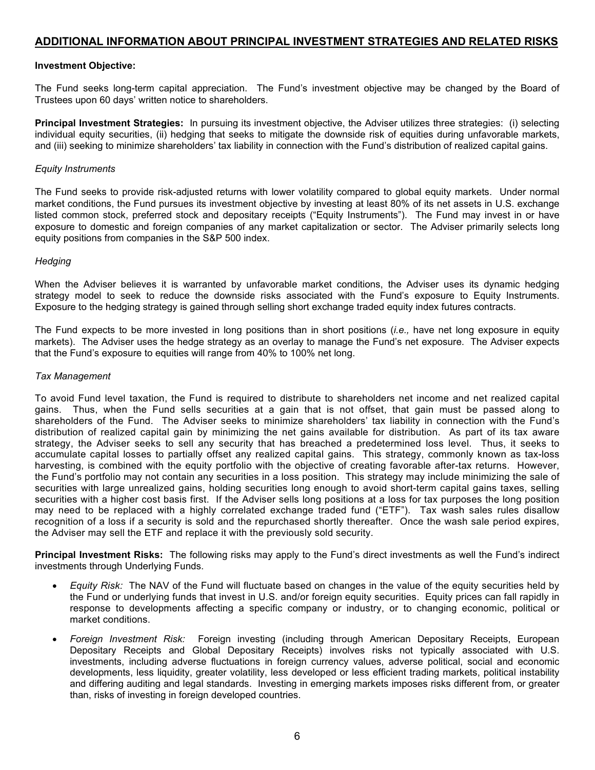#### **ADDITIONAL INFORMATION ABOUT PRINCIPAL INVESTMENT STRATEGIES AND RELATED RISKS**

#### <span id="page-7-0"></span>**Investment Objective:**

The Fund seeks long-term capital appreciation. The Fund's investment objective may be changed by the Board of Trustees upon 60 days' written notice to shareholders.

<span id="page-7-1"></span>**Principal Investment Strategies:** In pursuing its investment objective, the Adviser utilizes three strategies: (i) selecting individual equity securities, (ii) hedging that seeks to mitigate the downside risk of equities during unfavorable markets, and (iii) seeking to minimize shareholders' tax liability in connection with the Fund's distribution of realized capital gains.

#### *Equity Instruments*

The Fund seeks to provide risk-adjusted returns with lower volatility compared to global equity markets. Under normal market conditions, the Fund pursues its investment objective by investing at least 80% of its net assets in U.S. exchange listed common stock, preferred stock and depositary receipts ("Equity Instruments"). The Fund may invest in or have exposure to domestic and foreign companies of any market capitalization or sector. The Adviser primarily selects long equity positions from companies in the S&P 500 index.

#### *Hedging*

When the Adviser believes it is warranted by unfavorable market conditions, the Adviser uses its dynamic hedging strategy model to seek to reduce the downside risks associated with the Fund's exposure to Equity Instruments. Exposure to the hedging strategy is gained through selling short exchange traded equity index futures contracts.

The Fund expects to be more invested in long positions than in short positions (*i.e.,* have net long exposure in equity markets). The Adviser uses the hedge strategy as an overlay to manage the Fund's net exposure. The Adviser expects that the Fund's exposure to equities will range from 40% to 100% net long.

#### *Tax Management*

To avoid Fund level taxation, the Fund is required to distribute to shareholders net income and net realized capital gains. Thus, when the Fund sells securities at a gain that is not offset, that gain must be passed along to shareholders of the Fund. The Adviser seeks to minimize shareholders' tax liability in connection with the Fund's distribution of realized capital gain by minimizing the net gains available for distribution. As part of its tax aware strategy, the Adviser seeks to sell any security that has breached a predetermined loss level. Thus, it seeks to accumulate capital losses to partially offset any realized capital gains. This strategy, commonly known as tax-loss harvesting, is combined with the equity portfolio with the objective of creating favorable after-tax returns. However, the Fund's portfolio may not contain any securities in a loss position. This strategy may include minimizing the sale of securities with large unrealized gains, holding securities long enough to avoid short-term capital gains taxes, selling securities with a higher cost basis first. If the Adviser sells long positions at a loss for tax purposes the long position may need to be replaced with a highly correlated exchange traded fund ("ETF"). Tax wash sales rules disallow recognition of a loss if a security is sold and the repurchased shortly thereafter. Once the wash sale period expires, the Adviser may sell the ETF and replace it with the previously sold security.

<span id="page-7-2"></span>**Principal Investment Risks:** The following risks may apply to the Fund's direct investments as well the Fund's indirect investments through Underlying Funds.

- *Equity Risk:* The NAV of the Fund will fluctuate based on changes in the value of the equity securities held by the Fund or underlying funds that invest in U.S. and/or foreign equity securities. Equity prices can fall rapidly in response to developments affecting a specific company or industry, or to changing economic, political or market conditions.
- *Foreign Investment Risk:* Foreign investing (including through American Depositary Receipts, European Depositary Receipts and Global Depositary Receipts) involves risks not typically associated with U.S. investments, including adverse fluctuations in foreign currency values, adverse political, social and economic developments, less liquidity, greater volatility, less developed or less efficient trading markets, political instability and differing auditing and legal standards. Investing in emerging markets imposes risks different from, or greater than, risks of investing in foreign developed countries.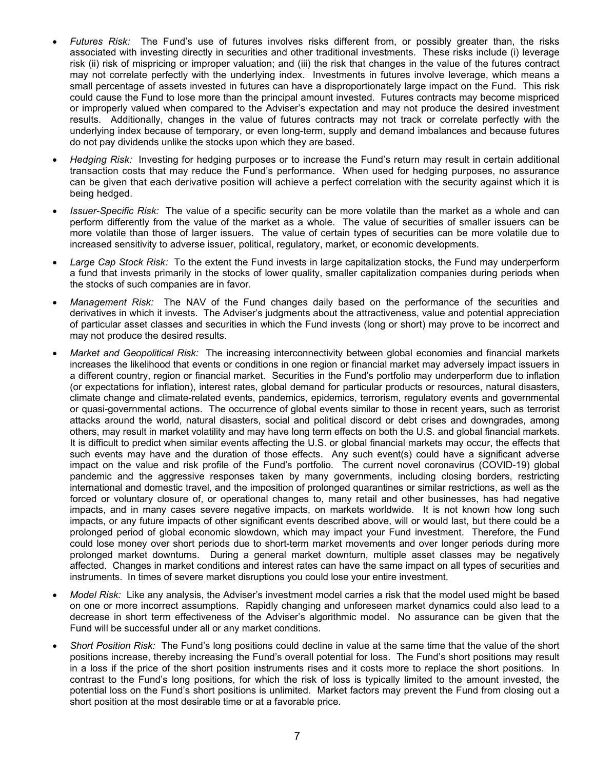- *Futures Risk:* The Fund's use of futures involves risks different from, or possibly greater than, the risks associated with investing directly in securities and other traditional investments. These risks include (i) leverage risk (ii) risk of mispricing or improper valuation; and (iii) the risk that changes in the value of the futures contract may not correlate perfectly with the underlying index. Investments in futures involve leverage, which means a small percentage of assets invested in futures can have a disproportionately large impact on the Fund. This risk could cause the Fund to lose more than the principal amount invested. Futures contracts may become mispriced or improperly valued when compared to the Adviser's expectation and may not produce the desired investment results. Additionally, changes in the value of futures contracts may not track or correlate perfectly with the underlying index because of temporary, or even long-term, supply and demand imbalances and because futures do not pay dividends unlike the stocks upon which they are based.
- *Hedging Risk:* Investing for hedging purposes or to increase the Fund's return may result in certain additional transaction costs that may reduce the Fund's performance. When used for hedging purposes, no assurance can be given that each derivative position will achieve a perfect correlation with the security against which it is being hedged.
- *Issuer-Specific Risk:* The value of a specific security can be more volatile than the market as a whole and can perform differently from the value of the market as a whole. The value of securities of smaller issuers can be more volatile than those of larger issuers. The value of certain types of securities can be more volatile due to increased sensitivity to adverse issuer, political, regulatory, market, or economic developments.
- *Large Cap Stock Risk:* To the extent the Fund invests in large capitalization stocks, the Fund may underperform a fund that invests primarily in the stocks of lower quality, smaller capitalization companies during periods when the stocks of such companies are in favor.
- *Management Risk:* The NAV of the Fund changes daily based on the performance of the securities and derivatives in which it invests. The Adviser's judgments about the attractiveness, value and potential appreciation of particular asset classes and securities in which the Fund invests (long or short) may prove to be incorrect and may not produce the desired results.
- *Market and Geopolitical Risk:* The increasing interconnectivity between global economies and financial markets increases the likelihood that events or conditions in one region or financial market may adversely impact issuers in a different country, region or financial market. Securities in the Fund's portfolio may underperform due to inflation (or expectations for inflation), interest rates, global demand for particular products or resources, natural disasters, climate change and climate-related events, pandemics, epidemics, terrorism, regulatory events and governmental or quasi-governmental actions. The occurrence of global events similar to those in recent years, such as terrorist attacks around the world, natural disasters, social and political discord or debt crises and downgrades, among others, may result in market volatility and may have long term effects on both the U.S. and global financial markets. It is difficult to predict when similar events affecting the U.S. or global financial markets may occur, the effects that such events may have and the duration of those effects. Any such event(s) could have a significant adverse impact on the value and risk profile of the Fund's portfolio. The current novel coronavirus (COVID-19) global pandemic and the aggressive responses taken by many governments, including closing borders, restricting international and domestic travel, and the imposition of prolonged quarantines or similar restrictions, as well as the forced or voluntary closure of, or operational changes to, many retail and other businesses, has had negative impacts, and in many cases severe negative impacts, on markets worldwide. It is not known how long such impacts, or any future impacts of other significant events described above, will or would last, but there could be a prolonged period of global economic slowdown, which may impact your Fund investment. Therefore, the Fund could lose money over short periods due to short-term market movements and over longer periods during more prolonged market downturns. During a general market downturn, multiple asset classes may be negatively affected. Changes in market conditions and interest rates can have the same impact on all types of securities and instruments. In times of severe market disruptions you could lose your entire investment.
- *Model Risk:* Like any analysis, the Adviser's investment model carries a risk that the model used might be based on one or more incorrect assumptions. Rapidly changing and unforeseen market dynamics could also lead to a decrease in short term effectiveness of the Adviser's algorithmic model. No assurance can be given that the Fund will be successful under all or any market conditions.
- *Short Position Risk:* The Fund's long positions could decline in value at the same time that the value of the short positions increase, thereby increasing the Fund's overall potential for loss. The Fund's short positions may result in a loss if the price of the short position instruments rises and it costs more to replace the short positions. In contrast to the Fund's long positions, for which the risk of loss is typically limited to the amount invested, the potential loss on the Fund's short positions is unlimited. Market factors may prevent the Fund from closing out a short position at the most desirable time or at a favorable price.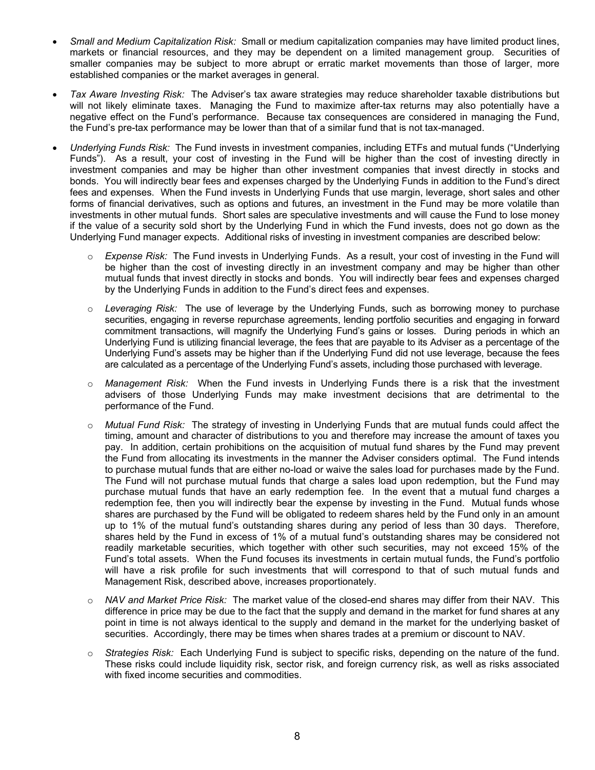- *Small and Medium Capitalization Risk:* Small or medium capitalization companies may have limited product lines, markets or financial resources, and they may be dependent on a limited management group. Securities of smaller companies may be subject to more abrupt or erratic market movements than those of larger, more established companies or the market averages in general.
- *Tax Aware Investing Risk:* The Adviser's tax aware strategies may reduce shareholder taxable distributions but will not likely eliminate taxes. Managing the Fund to maximize after-tax returns may also potentially have a negative effect on the Fund's performance. Because tax consequences are considered in managing the Fund, the Fund's pre-tax performance may be lower than that of a similar fund that is not tax-managed.
- <span id="page-9-0"></span>• *Underlying Funds Risk:* The Fund invests in investment companies, including ETFs and mutual funds ("Underlying Funds"). As a result, your cost of investing in the Fund will be higher than the cost of investing directly in investment companies and may be higher than other investment companies that invest directly in stocks and bonds. You will indirectly bear fees and expenses charged by the Underlying Funds in addition to the Fund's direct fees and expenses. When the Fund invests in Underlying Funds that use margin, leverage, short sales and other forms of financial derivatives, such as options and futures, an investment in the Fund may be more volatile than investments in other mutual funds. Short sales are speculative investments and will cause the Fund to lose money if the value of a security sold short by the Underlying Fund in which the Fund invests, does not go down as the Underlying Fund manager expects. Additional risks of investing in investment companies are described below:
	- o *Expense Risk:* The Fund invests in Underlying Funds. As a result, your cost of investing in the Fund will be higher than the cost of investing directly in an investment company and may be higher than other mutual funds that invest directly in stocks and bonds. You will indirectly bear fees and expenses charged by the Underlying Funds in addition to the Fund's direct fees and expenses.
	- o *Leveraging Risk:* The use of leverage by the Underlying Funds, such as borrowing money to purchase securities, engaging in reverse repurchase agreements, lending portfolio securities and engaging in forward commitment transactions, will magnify the Underlying Fund's gains or losses. During periods in which an Underlying Fund is utilizing financial leverage, the fees that are payable to its Adviser as a percentage of the Underlying Fund's assets may be higher than if the Underlying Fund did not use leverage, because the fees are calculated as a percentage of the Underlying Fund's assets, including those purchased with leverage.
	- o *Management Risk:* When the Fund invests in Underlying Funds there is a risk that the investment advisers of those Underlying Funds may make investment decisions that are detrimental to the performance of the Fund.
	- o *Mutual Fund Risk:* The strategy of investing in Underlying Funds that are mutual funds could affect the timing, amount and character of distributions to you and therefore may increase the amount of taxes you pay. In addition, certain prohibitions on the acquisition of mutual fund shares by the Fund may prevent the Fund from allocating its investments in the manner the Adviser considers optimal. The Fund intends to purchase mutual funds that are either no-load or waive the sales load for purchases made by the Fund. The Fund will not purchase mutual funds that charge a sales load upon redemption, but the Fund may purchase mutual funds that have an early redemption fee. In the event that a mutual fund charges a redemption fee, then you will indirectly bear the expense by investing in the Fund. Mutual funds whose shares are purchased by the Fund will be obligated to redeem shares held by the Fund only in an amount up to 1% of the mutual fund's outstanding shares during any period of less than 30 days. Therefore, shares held by the Fund in excess of 1% of a mutual fund's outstanding shares may be considered not readily marketable securities, which together with other such securities, may not exceed 15% of the Fund's total assets. When the Fund focuses its investments in certain mutual funds, the Fund's portfolio will have a risk profile for such investments that will correspond to that of such mutual funds and Management Risk, described above, increases proportionately.
	- o *NAV and Market Price Risk:* The market value of the closed-end shares may differ from their NAV. This difference in price may be due to the fact that the supply and demand in the market for fund shares at any point in time is not always identical to the supply and demand in the market for the underlying basket of securities. Accordingly, there may be times when shares trades at a premium or discount to NAV.
	- o *Strategies Risk:* Each Underlying Fund is subject to specific risks, depending on the nature of the fund. These risks could include liquidity risk, sector risk, and foreign currency risk, as well as risks associated with fixed income securities and commodities.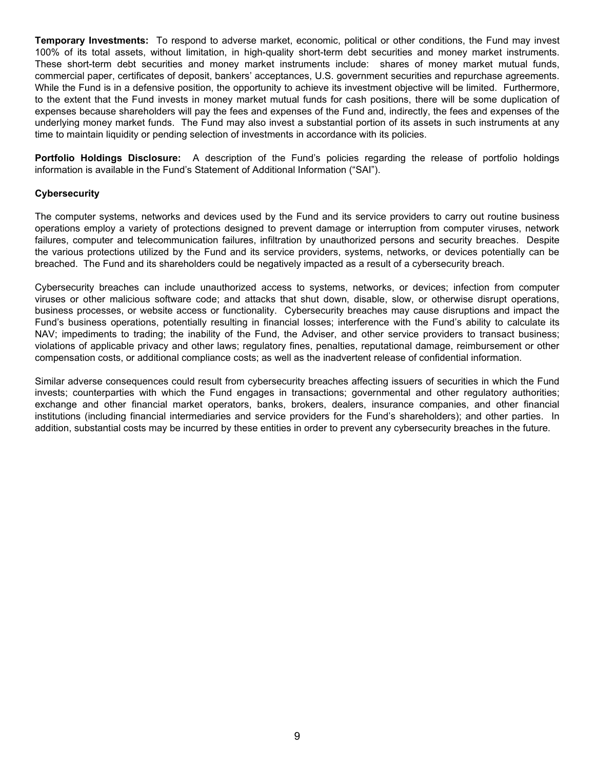**Temporary Investments:** To respond to adverse market, economic, political or other conditions, the Fund may invest 100% of its total assets, without limitation, in high-quality short-term debt securities and money market instruments. These short-term debt securities and money market instruments include: shares of money market mutual funds, commercial paper, certificates of deposit, bankers' acceptances, U.S. government securities and repurchase agreements. While the Fund is in a defensive position, the opportunity to achieve its investment objective will be limited. Furthermore, to the extent that the Fund invests in money market mutual funds for cash positions, there will be some duplication of expenses because shareholders will pay the fees and expenses of the Fund and, indirectly, the fees and expenses of the underlying money market funds. The Fund may also invest a substantial portion of its assets in such instruments at any time to maintain liquidity or pending selection of investments in accordance with its policies.

<span id="page-10-0"></span>**Portfolio Holdings Disclosure:** A description of the Fund's policies regarding the release of portfolio holdings information is available in the Fund's Statement of Additional Information ("SAI").

#### <span id="page-10-1"></span>**Cybersecurity**

The computer systems, networks and devices used by the Fund and its service providers to carry out routine business operations employ a variety of protections designed to prevent damage or interruption from computer viruses, network failures, computer and telecommunication failures, infiltration by unauthorized persons and security breaches. Despite the various protections utilized by the Fund and its service providers, systems, networks, or devices potentially can be breached. The Fund and its shareholders could be negatively impacted as a result of a cybersecurity breach.

Cybersecurity breaches can include unauthorized access to systems, networks, or devices; infection from computer viruses or other malicious software code; and attacks that shut down, disable, slow, or otherwise disrupt operations, business processes, or website access or functionality. Cybersecurity breaches may cause disruptions and impact the Fund's business operations, potentially resulting in financial losses; interference with the Fund's ability to calculate its NAV; impediments to trading; the inability of the Fund, the Adviser, and other service providers to transact business; violations of applicable privacy and other laws; regulatory fines, penalties, reputational damage, reimbursement or other compensation costs, or additional compliance costs; as well as the inadvertent release of confidential information.

Similar adverse consequences could result from cybersecurity breaches affecting issuers of securities in which the Fund invests; counterparties with which the Fund engages in transactions; governmental and other regulatory authorities; exchange and other financial market operators, banks, brokers, dealers, insurance companies, and other financial institutions (including financial intermediaries and service providers for the Fund's shareholders); and other parties. In addition, substantial costs may be incurred by these entities in order to prevent any cybersecurity breaches in the future.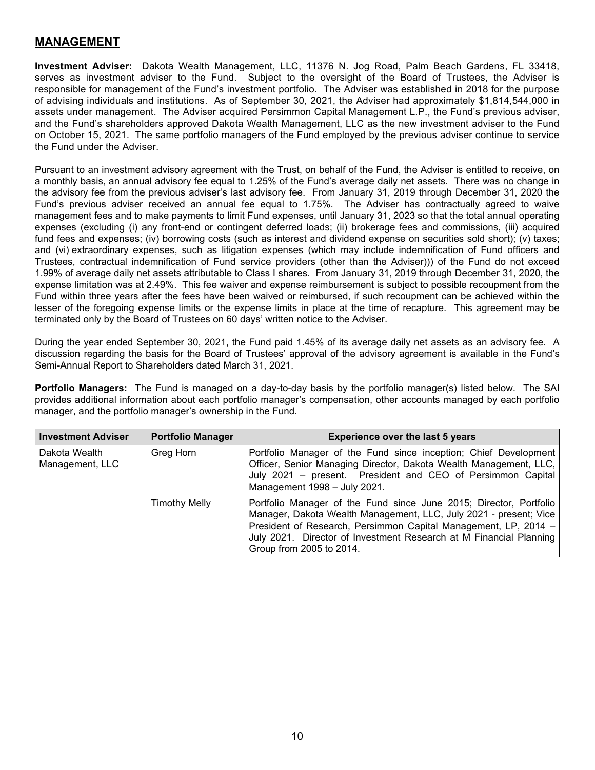### <span id="page-11-0"></span>**MANAGEMENT**

<span id="page-11-1"></span>**Investment Adviser:** Dakota Wealth Management, LLC, 11376 N. Jog Road, Palm Beach Gardens, FL 33418, serves as investment adviser to the Fund. Subject to the oversight of the Board of Trustees, the Adviser is responsible for management of the Fund's investment portfolio. The Adviser was established in 2018 for the purpose of advising individuals and institutions. As of September 30, 2021, the Adviser had approximately \$1,814,544,000 in assets under management. The Adviser acquired Persimmon Capital Management L.P., the Fund's previous adviser, and the Fund's shareholders approved Dakota Wealth Management, LLC as the new investment adviser to the Fund on October 15, 2021. The same portfolio managers of the Fund employed by the previous adviser continue to service the Fund under the Adviser.

Pursuant to an investment advisory agreement with the Trust, on behalf of the Fund, the Adviser is entitled to receive, on a monthly basis, an annual advisory fee equal to 1.25% of the Fund's average daily net assets. There was no change in the advisory fee from the previous adviser's last advisory fee. From January 31, 2019 through December 31, 2020 the Fund's previous adviser received an annual fee equal to 1.75%. The Adviser has contractually agreed to waive management fees and to make payments to limit Fund expenses, until January 31, 2023 so that the total annual operating expenses (excluding (i) any front-end or contingent deferred loads; (ii) brokerage fees and commissions, (iii) acquired fund fees and expenses; (iv) borrowing costs (such as interest and dividend expense on securities sold short); (v) taxes; and (vi) extraordinary expenses, such as litigation expenses (which may include indemnification of Fund officers and Trustees, contractual indemnification of Fund service providers (other than the Adviser))) of the Fund do not exceed 1.99% of average daily net assets attributable to Class I shares. From January 31, 2019 through December 31, 2020, the expense limitation was at 2.49%. This fee waiver and expense reimbursement is subject to possible recoupment from the Fund within three years after the fees have been waived or reimbursed, if such recoupment can be achieved within the lesser of the foregoing expense limits or the expense limits in place at the time of recapture. This agreement may be terminated only by the Board of Trustees on 60 days' written notice to the Adviser.

During the year ended September 30, 2021, the Fund paid 1.45% of its average daily net assets as an advisory fee. A discussion regarding the basis for the Board of Trustees' approval of the advisory agreement is available in the Fund's Semi-Annual Report to Shareholders dated March 31, 2021.

<span id="page-11-2"></span>**Portfolio Managers:** The Fund is managed on a day-to-day basis by the portfolio manager(s) listed below. The SAI provides additional information about each portfolio manager's compensation, other accounts managed by each portfolio manager, and the portfolio manager's ownership in the Fund.

<span id="page-11-3"></span>

| <b>Investment Adviser</b>        | <b>Portfolio Manager</b> | <b>Experience over the last 5 years</b>                                                                                                                                                                                                                                                                      |
|----------------------------------|--------------------------|--------------------------------------------------------------------------------------------------------------------------------------------------------------------------------------------------------------------------------------------------------------------------------------------------------------|
| Dakota Wealth<br>Management, LLC | Greg Horn                | Portfolio Manager of the Fund since inception; Chief Development<br>Officer, Senior Managing Director, Dakota Wealth Management, LLC,<br>July 2021 - present. President and CEO of Persimmon Capital<br>Management 1998 - July 2021.                                                                         |
|                                  | <b>Timothy Melly</b>     | Portfolio Manager of the Fund since June 2015; Director, Portfolio<br>Manager, Dakota Wealth Management, LLC, July 2021 - present; Vice<br>President of Research, Persimmon Capital Management, LP, 2014 -<br>July 2021. Director of Investment Research at M Financial Planning<br>Group from 2005 to 2014. |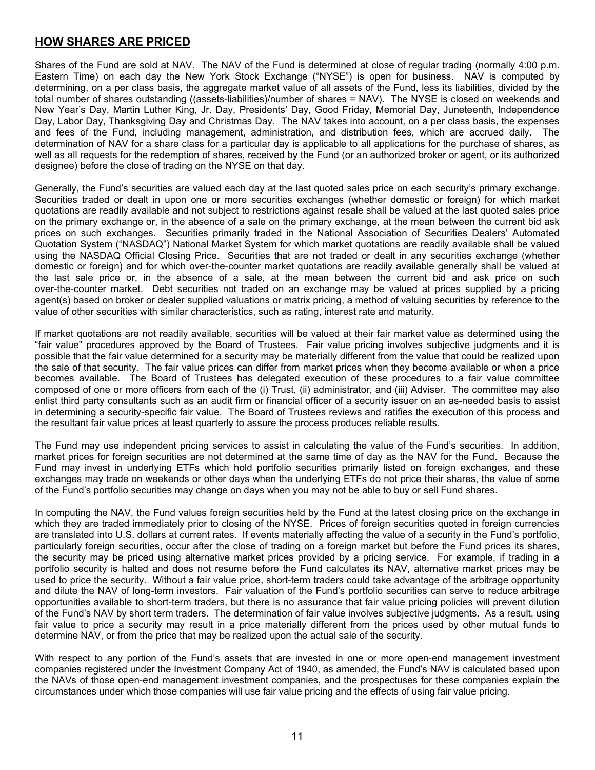## **HOW SHARES ARE PRICED**

Shares of the Fund are sold at NAV. The NAV of the Fund is determined at close of regular trading (normally 4:00 p.m. Eastern Time) on each day the New York Stock Exchange ("NYSE") is open for business. NAV is computed by determining, on a per class basis, the aggregate market value of all assets of the Fund, less its liabilities, divided by the total number of shares outstanding ((assets-liabilities)/number of shares = NAV). The NYSE is closed on weekends and New Year's Day, Martin Luther King, Jr. Day, Presidents' Day, Good Friday, Memorial Day, Juneteenth, Independence Day, Labor Day, Thanksgiving Day and Christmas Day. The NAV takes into account, on a per class basis, the expenses and fees of the Fund, including management, administration, and distribution fees, which are accrued daily. The determination of NAV for a share class for a particular day is applicable to all applications for the purchase of shares, as well as all requests for the redemption of shares, received by the Fund (or an authorized broker or agent, or its authorized designee) before the close of trading on the NYSE on that day.

Generally, the Fund's securities are valued each day at the last quoted sales price on each security's primary exchange. Securities traded or dealt in upon one or more securities exchanges (whether domestic or foreign) for which market quotations are readily available and not subject to restrictions against resale shall be valued at the last quoted sales price on the primary exchange or, in the absence of a sale on the primary exchange, at the mean between the current bid ask prices on such exchanges. Securities primarily traded in the National Association of Securities Dealers' Automated Quotation System ("NASDAQ") National Market System for which market quotations are readily available shall be valued using the NASDAQ Official Closing Price. Securities that are not traded or dealt in any securities exchange (whether domestic or foreign) and for which over-the-counter market quotations are readily available generally shall be valued at the last sale price or, in the absence of a sale, at the mean between the current bid and ask price on such over-the-counter market. Debt securities not traded on an exchange may be valued at prices supplied by a pricing agent(s) based on broker or dealer supplied valuations or matrix pricing, a method of valuing securities by reference to the value of other securities with similar characteristics, such as rating, interest rate and maturity.

If market quotations are not readily available, securities will be valued at their fair market value as determined using the "fair value" procedures approved by the Board of Trustees. Fair value pricing involves subjective judgments and it is possible that the fair value determined for a security may be materially different from the value that could be realized upon the sale of that security. The fair value prices can differ from market prices when they become available or when a price becomes available. The Board of Trustees has delegated execution of these procedures to a fair value committee composed of one or more officers from each of the (i) Trust, (ii) administrator, and (iii) Adviser. The committee may also enlist third party consultants such as an audit firm or financial officer of a security issuer on an as-needed basis to assist in determining a security-specific fair value. The Board of Trustees reviews and ratifies the execution of this process and the resultant fair value prices at least quarterly to assure the process produces reliable results.

The Fund may use independent pricing services to assist in calculating the value of the Fund's securities. In addition, market prices for foreign securities are not determined at the same time of day as the NAV for the Fund. Because the Fund may invest in underlying ETFs which hold portfolio securities primarily listed on foreign exchanges, and these exchanges may trade on weekends or other days when the underlying ETFs do not price their shares, the value of some of the Fund's portfolio securities may change on days when you may not be able to buy or sell Fund shares.

In computing the NAV, the Fund values foreign securities held by the Fund at the latest closing price on the exchange in which they are traded immediately prior to closing of the NYSE. Prices of foreign securities quoted in foreign currencies are translated into U.S. dollars at current rates. If events materially affecting the value of a security in the Fund's portfolio, particularly foreign securities, occur after the close of trading on a foreign market but before the Fund prices its shares, the security may be priced using alternative market prices provided by a pricing service. For example, if trading in a portfolio security is halted and does not resume before the Fund calculates its NAV, alternative market prices may be used to price the security. Without a fair value price, short-term traders could take advantage of the arbitrage opportunity and dilute the NAV of long-term investors. Fair valuation of the Fund's portfolio securities can serve to reduce arbitrage opportunities available to short-term traders, but there is no assurance that fair value pricing policies will prevent dilution of the Fund's NAV by short term traders. The determination of fair value involves subjective judgments. As a result, using fair value to price a security may result in a price materially different from the prices used by other mutual funds to determine NAV, or from the price that may be realized upon the actual sale of the security.

With respect to any portion of the Fund's assets that are invested in one or more open-end management investment companies registered under the Investment Company Act of 1940, as amended, the Fund's NAV is calculated based upon the NAVs of those open-end management investment companies, and the prospectuses for these companies explain the circumstances under which those companies will use fair value pricing and the effects of using fair value pricing.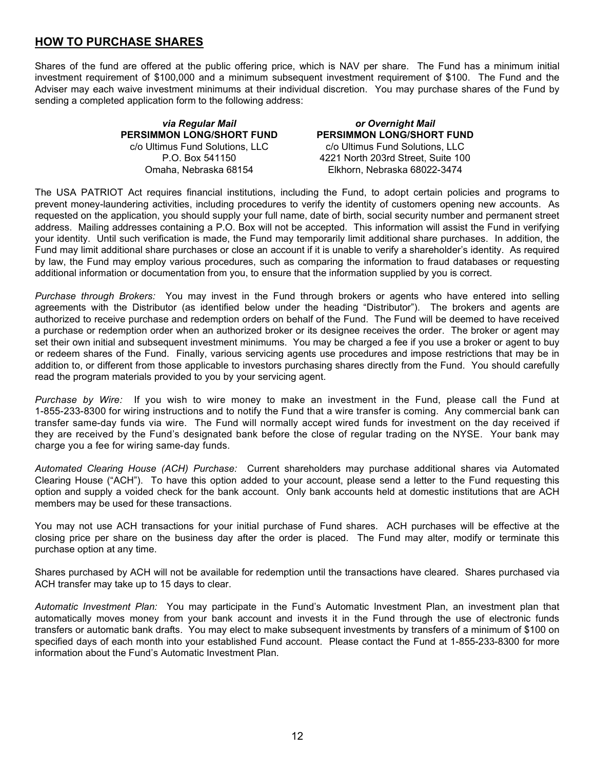## <span id="page-13-0"></span>**HOW TO PURCHASE SHARES**

Shares of the fund are offered at the public offering price, which is NAV per share. The Fund has a minimum initial investment requirement of \$100,000 and a minimum subsequent investment requirement of \$100. The Fund and the Adviser may each waive investment minimums at their individual discretion. You may purchase shares of the Fund by sending a completed application form to the following address:

> *via Regular Mail* **PERSIMMON LONG/SHORT FUND** c/o Ultimus Fund Solutions, LLC P.O. Box 541150 Omaha, Nebraska 68154

*or Overnight Mail* **PERSIMMON LONG/SHORT FUND** c/o Ultimus Fund Solutions, LLC 4221 North 203rd Street, Suite 100 Elkhorn, Nebraska 68022-3474

The USA PATRIOT Act requires financial institutions, including the Fund, to adopt certain policies and programs to prevent money-laundering activities, including procedures to verify the identity of customers opening new accounts. As requested on the application, you should supply your full name, date of birth, social security number and permanent street address. Mailing addresses containing a P.O. Box will not be accepted. This information will assist the Fund in verifying your identity. Until such verification is made, the Fund may temporarily limit additional share purchases. In addition, the Fund may limit additional share purchases or close an account if it is unable to verify a shareholder's identity. As required by law, the Fund may employ various procedures, such as comparing the information to fraud databases or requesting additional information or documentation from you, to ensure that the information supplied by you is correct.

*Purchase through Brokers:* You may invest in the Fund through brokers or agents who have entered into selling agreements with the Distributor (as identified below under the heading "Distributor"). The brokers and agents are authorized to receive purchase and redemption orders on behalf of the Fund. The Fund will be deemed to have received a purchase or redemption order when an authorized broker or its designee receives the order. The broker or agent may set their own initial and subsequent investment minimums. You may be charged a fee if you use a broker or agent to buy or redeem shares of the Fund. Finally, various servicing agents use procedures and impose restrictions that may be in addition to, or different from those applicable to investors purchasing shares directly from the Fund. You should carefully read the program materials provided to you by your servicing agent.

*Purchase by Wire:* If you wish to wire money to make an investment in the Fund, please call the Fund at 1-855-233-8300 for wiring instructions and to notify the Fund that a wire transfer is coming. Any commercial bank can transfer same-day funds via wire. The Fund will normally accept wired funds for investment on the day received if they are received by the Fund's designated bank before the close of regular trading on the NYSE. Your bank may charge you a fee for wiring same-day funds.

*Automated Clearing House (ACH) Purchase:* Current shareholders may purchase additional shares via Automated Clearing House ("ACH"). To have this option added to your account, please send a letter to the Fund requesting this option and supply a voided check for the bank account. Only bank accounts held at domestic institutions that are ACH members may be used for these transactions.

You may not use ACH transactions for your initial purchase of Fund shares. ACH purchases will be effective at the closing price per share on the business day after the order is placed. The Fund may alter, modify or terminate this purchase option at any time.

Shares purchased by ACH will not be available for redemption until the transactions have cleared. Shares purchased via ACH transfer may take up to 15 days to clear.

*Automatic Investment Plan:* You may participate in the Fund's Automatic Investment Plan, an investment plan that automatically moves money from your bank account and invests it in the Fund through the use of electronic funds transfers or automatic bank drafts. You may elect to make subsequent investments by transfers of a minimum of \$100 on specified days of each month into your established Fund account. Please contact the Fund at 1-855-233-8300 for more information about the Fund's Automatic Investment Plan.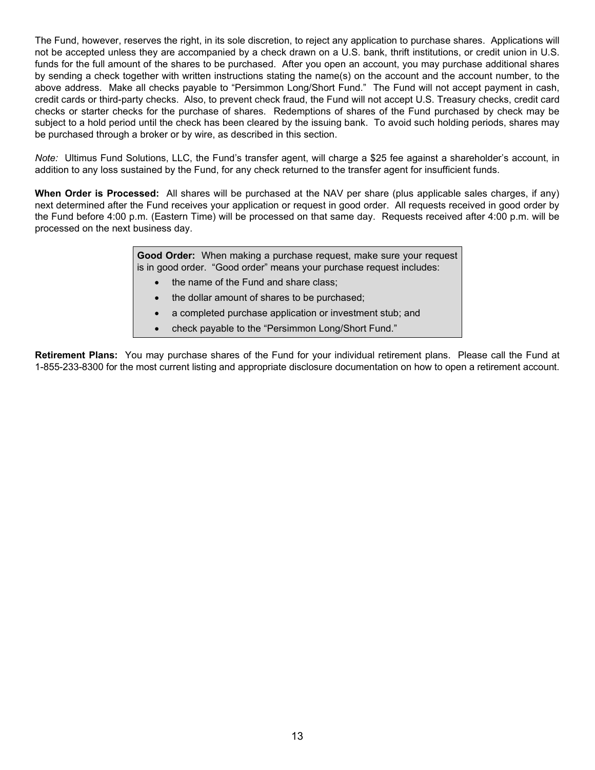The Fund, however, reserves the right, in its sole discretion, to reject any application to purchase shares. Applications will not be accepted unless they are accompanied by a check drawn on a U.S. bank, thrift institutions, or credit union in U.S. funds for the full amount of the shares to be purchased. After you open an account, you may purchase additional shares by sending a check together with written instructions stating the name(s) on the account and the account number, to the above address. Make all checks payable to "Persimmon Long/Short Fund." The Fund will not accept payment in cash, credit cards or third-party checks. Also, to prevent check fraud, the Fund will not accept U.S. Treasury checks, credit card checks or starter checks for the purchase of shares. Redemptions of shares of the Fund purchased by check may be subject to a hold period until the check has been cleared by the issuing bank. To avoid such holding periods, shares may be purchased through a broker or by wire, as described in this section.

*Note:* Ultimus Fund Solutions, LLC, the Fund's transfer agent, will charge a \$25 fee against a shareholder's account, in addition to any loss sustained by the Fund, for any check returned to the transfer agent for insufficient funds.

**When Order is Processed:** All shares will be purchased at the NAV per share (plus applicable sales charges, if any) next determined after the Fund receives your application or request in good order. All requests received in good order by the Fund before 4:00 p.m. (Eastern Time) will be processed on that same day. Requests received after 4:00 p.m. will be processed on the next business day.

> **Good Order:** When making a purchase request, make sure your request is in good order. "Good order" means your purchase request includes:

- the name of the Fund and share class;
- the dollar amount of shares to be purchased;
- a completed purchase application or investment stub; and
- check payable to the "Persimmon Long/Short Fund."

<span id="page-14-0"></span>**Retirement Plans:** You may purchase shares of the Fund for your individual retirement plans. Please call the Fund at 1-855-233-8300 for the most current listing and appropriate disclosure documentation on how to open a retirement account.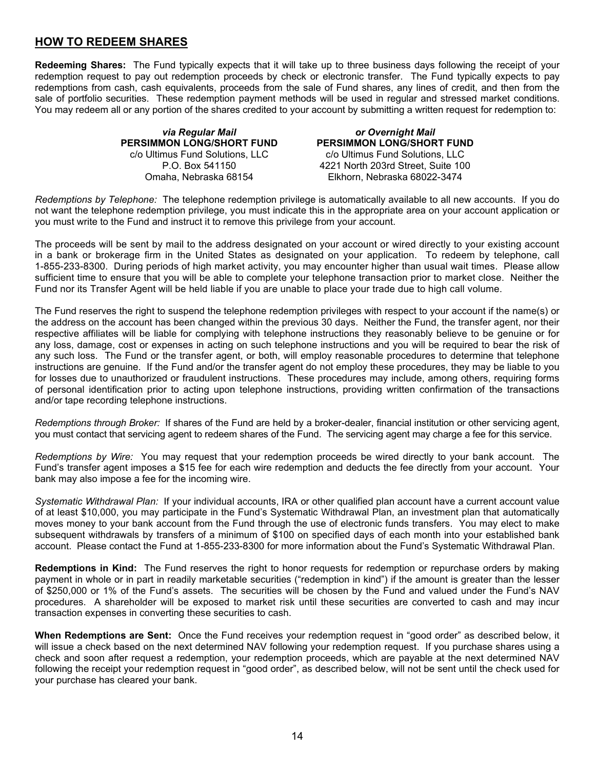## **HOW TO REDEEM SHARES**

**Redeeming Shares:** The Fund typically expects that it will take up to three business days following the receipt of your redemption request to pay out redemption proceeds by check or electronic transfer. The Fund typically expects to pay redemptions from cash, cash equivalents, proceeds from the sale of Fund shares, any lines of credit, and then from the sale of portfolio securities. These redemption payment methods will be used in regular and stressed market conditions. You may redeem all or any portion of the shares credited to your account by submitting a written request for redemption to:

> *via Regular Mail* **PERSIMMON LONG/SHORT FUND** c/o Ultimus Fund Solutions, LLC P.O. Box 541150 Omaha, Nebraska 68154

*or Overnight Mail* **PERSIMMON LONG/SHORT FUND** c/o Ultimus Fund Solutions, LLC 4221 North 203rd Street, Suite 100 Elkhorn, Nebraska 68022-3474

*Redemptions by Telephone:* The telephone redemption privilege is automatically available to all new accounts. If you do not want the telephone redemption privilege, you must indicate this in the appropriate area on your account application or you must write to the Fund and instruct it to remove this privilege from your account.

The proceeds will be sent by mail to the address designated on your account or wired directly to your existing account in a bank or brokerage firm in the United States as designated on your application. To redeem by telephone, call 1-855-233-8300. During periods of high market activity, you may encounter higher than usual wait times. Please allow sufficient time to ensure that you will be able to complete your telephone transaction prior to market close. Neither the Fund nor its Transfer Agent will be held liable if you are unable to place your trade due to high call volume.

The Fund reserves the right to suspend the telephone redemption privileges with respect to your account if the name(s) or the address on the account has been changed within the previous 30 days. Neither the Fund, the transfer agent, nor their respective affiliates will be liable for complying with telephone instructions they reasonably believe to be genuine or for any loss, damage, cost or expenses in acting on such telephone instructions and you will be required to bear the risk of any such loss. The Fund or the transfer agent, or both, will employ reasonable procedures to determine that telephone instructions are genuine. If the Fund and/or the transfer agent do not employ these procedures, they may be liable to you for losses due to unauthorized or fraudulent instructions. These procedures may include, among others, requiring forms of personal identification prior to acting upon telephone instructions, providing written confirmation of the transactions and/or tape recording telephone instructions.

*Redemptions through Broker:* If shares of the Fund are held by a broker-dealer, financial institution or other servicing agent, you must contact that servicing agent to redeem shares of the Fund. The servicing agent may charge a fee for this service.

*Redemptions by Wire:* You may request that your redemption proceeds be wired directly to your bank account. The Fund's transfer agent imposes a \$15 fee for each wire redemption and deducts the fee directly from your account. Your bank may also impose a fee for the incoming wire.

*Systematic Withdrawal Plan:* If your individual accounts, IRA or other qualified plan account have a current account value of at least \$10,000, you may participate in the Fund's Systematic Withdrawal Plan, an investment plan that automatically moves money to your bank account from the Fund through the use of electronic funds transfers. You may elect to make subsequent withdrawals by transfers of a minimum of \$100 on specified days of each month into your established bank account. Please contact the Fund at 1-855-233-8300 for more information about the Fund's Systematic Withdrawal Plan.

**Redemptions in Kind:** The Fund reserves the right to honor requests for redemption or repurchase orders by making payment in whole or in part in readily marketable securities ("redemption in kind") if the amount is greater than the lesser of \$250,000 or 1% of the Fund's assets. The securities will be chosen by the Fund and valued under the Fund's NAV procedures. A shareholder will be exposed to market risk until these securities are converted to cash and may incur transaction expenses in converting these securities to cash.

**When Redemptions are Sent:** Once the Fund receives your redemption request in "good order" as described below, it will issue a check based on the next determined NAV following your redemption request. If you purchase shares using a check and soon after request a redemption, your redemption proceeds, which are payable at the next determined NAV following the receipt your redemption request in "good order", as described below, will not be sent until the check used for your purchase has cleared your bank.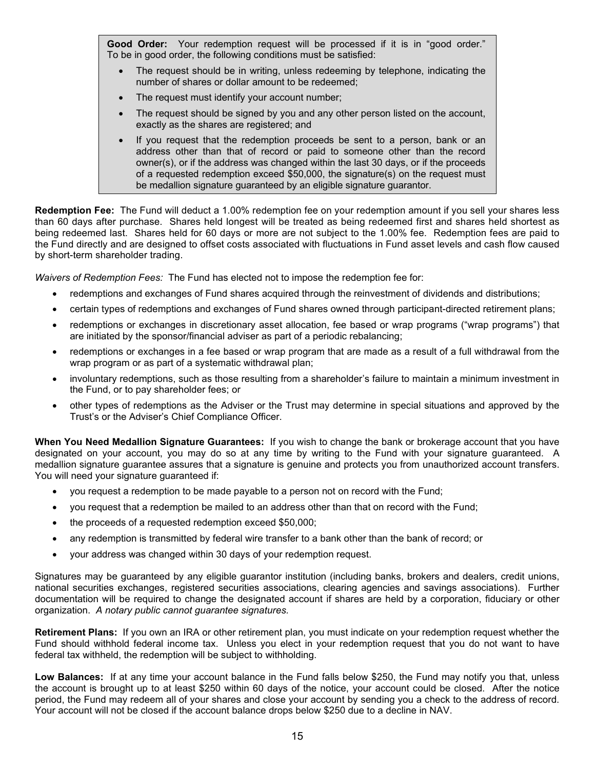Good Order: Your redemption request will be processed if it is in "good order." To be in good order, the following conditions must be satisfied:

- The request should be in writing, unless redeeming by telephone, indicating the number of shares or dollar amount to be redeemed;
- The request must identify your account number;
- The request should be signed by you and any other person listed on the account, exactly as the shares are registered; and
- If you request that the redemption proceeds be sent to a person, bank or an address other than that of record or paid to someone other than the record owner(s), or if the address was changed within the last 30 days, or if the proceeds of a requested redemption exceed \$50,000, the signature(s) on the request must be medallion signature guaranteed by an eligible signature guarantor.

**Redemption Fee:** The Fund will deduct a 1.00% redemption fee on your redemption amount if you sell your shares less than 60 days after purchase. Shares held longest will be treated as being redeemed first and shares held shortest as being redeemed last. Shares held for 60 days or more are not subject to the 1.00% fee. Redemption fees are paid to the Fund directly and are designed to offset costs associated with fluctuations in Fund asset levels and cash flow caused by short-term shareholder trading.

*Waivers of Redemption Fees:* The Fund has elected not to impose the redemption fee for:

- redemptions and exchanges of Fund shares acquired through the reinvestment of dividends and distributions;
- certain types of redemptions and exchanges of Fund shares owned through participant-directed retirement plans;
- redemptions or exchanges in discretionary asset allocation, fee based or wrap programs ("wrap programs") that are initiated by the sponsor/financial adviser as part of a periodic rebalancing;
- redemptions or exchanges in a fee based or wrap program that are made as a result of a full withdrawal from the wrap program or as part of a systematic withdrawal plan;
- involuntary redemptions, such as those resulting from a shareholder's failure to maintain a minimum investment in the Fund, or to pay shareholder fees; or
- other types of redemptions as the Adviser or the Trust may determine in special situations and approved by the Trust's or the Adviser's Chief Compliance Officer.

**When You Need Medallion Signature Guarantees:** If you wish to change the bank or brokerage account that you have designated on your account, you may do so at any time by writing to the Fund with your signature guaranteed. A medallion signature guarantee assures that a signature is genuine and protects you from unauthorized account transfers. You will need your signature guaranteed if:

- you request a redemption to be made payable to a person not on record with the Fund;
- you request that a redemption be mailed to an address other than that on record with the Fund;
- the proceeds of a requested redemption exceed \$50,000;
- any redemption is transmitted by federal wire transfer to a bank other than the bank of record; or
- your address was changed within 30 days of your redemption request.

Signatures may be guaranteed by any eligible guarantor institution (including banks, brokers and dealers, credit unions, national securities exchanges, registered securities associations, clearing agencies and savings associations). Further documentation will be required to change the designated account if shares are held by a corporation, fiduciary or other organization. *A notary public cannot guarantee signatures.* 

**Retirement Plans:** If you own an IRA or other retirement plan, you must indicate on your redemption request whether the Fund should withhold federal income tax. Unless you elect in your redemption request that you do not want to have federal tax withheld, the redemption will be subject to withholding.

**Low Balances:** If at any time your account balance in the Fund falls below \$250, the Fund may notify you that, unless the account is brought up to at least \$250 within 60 days of the notice, your account could be closed. After the notice period, the Fund may redeem all of your shares and close your account by sending you a check to the address of record. Your account will not be closed if the account balance drops below \$250 due to a decline in NAV.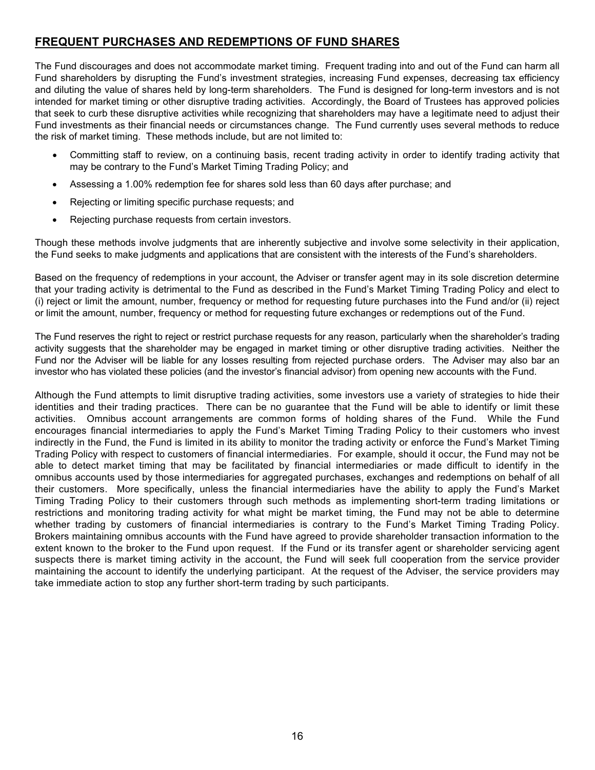## <span id="page-17-0"></span>**FREQUENT PURCHASES AND REDEMPTIONS OF FUND SHARES**

The Fund discourages and does not accommodate market timing. Frequent trading into and out of the Fund can harm all Fund shareholders by disrupting the Fund's investment strategies, increasing Fund expenses, decreasing tax efficiency and diluting the value of shares held by long-term shareholders. The Fund is designed for long-term investors and is not intended for market timing or other disruptive trading activities. Accordingly, the Board of Trustees has approved policies that seek to curb these disruptive activities while recognizing that shareholders may have a legitimate need to adjust their Fund investments as their financial needs or circumstances change. The Fund currently uses several methods to reduce the risk of market timing. These methods include, but are not limited to:

- Committing staff to review, on a continuing basis, recent trading activity in order to identify trading activity that may be contrary to the Fund's Market Timing Trading Policy; and
- Assessing a 1.00% redemption fee for shares sold less than 60 days after purchase; and
- Rejecting or limiting specific purchase requests; and
- Rejecting purchase requests from certain investors.

Though these methods involve judgments that are inherently subjective and involve some selectivity in their application, the Fund seeks to make judgments and applications that are consistent with the interests of the Fund's shareholders.

Based on the frequency of redemptions in your account, the Adviser or transfer agent may in its sole discretion determine that your trading activity is detrimental to the Fund as described in the Fund's Market Timing Trading Policy and elect to (i) reject or limit the amount, number, frequency or method for requesting future purchases into the Fund and/or (ii) reject or limit the amount, number, frequency or method for requesting future exchanges or redemptions out of the Fund.

The Fund reserves the right to reject or restrict purchase requests for any reason, particularly when the shareholder's trading activity suggests that the shareholder may be engaged in market timing or other disruptive trading activities. Neither the Fund nor the Adviser will be liable for any losses resulting from rejected purchase orders. The Adviser may also bar an investor who has violated these policies (and the investor's financial advisor) from opening new accounts with the Fund.

<span id="page-17-1"></span>Although the Fund attempts to limit disruptive trading activities, some investors use a variety of strategies to hide their identities and their trading practices. There can be no guarantee that the Fund will be able to identify or limit these activities. Omnibus account arrangements are common forms of holding shares of the Fund. While the Fund encourages financial intermediaries to apply the Fund's Market Timing Trading Policy to their customers who invest indirectly in the Fund, the Fund is limited in its ability to monitor the trading activity or enforce the Fund's Market Timing Trading Policy with respect to customers of financial intermediaries. For example, should it occur, the Fund may not be able to detect market timing that may be facilitated by financial intermediaries or made difficult to identify in the omnibus accounts used by those intermediaries for aggregated purchases, exchanges and redemptions on behalf of all their customers. More specifically, unless the financial intermediaries have the ability to apply the Fund's Market Timing Trading Policy to their customers through such methods as implementing short-term trading limitations or restrictions and monitoring trading activity for what might be market timing, the Fund may not be able to determine whether trading by customers of financial intermediaries is contrary to the Fund's Market Timing Trading Policy. Brokers maintaining omnibus accounts with the Fund have agreed to provide shareholder transaction information to the extent known to the broker to the Fund upon request. If the Fund or its transfer agent or shareholder servicing agent suspects there is market timing activity in the account, the Fund will seek full cooperation from the service provider maintaining the account to identify the underlying participant. At the request of the Adviser, the service providers may take immediate action to stop any further short-term trading by such participants.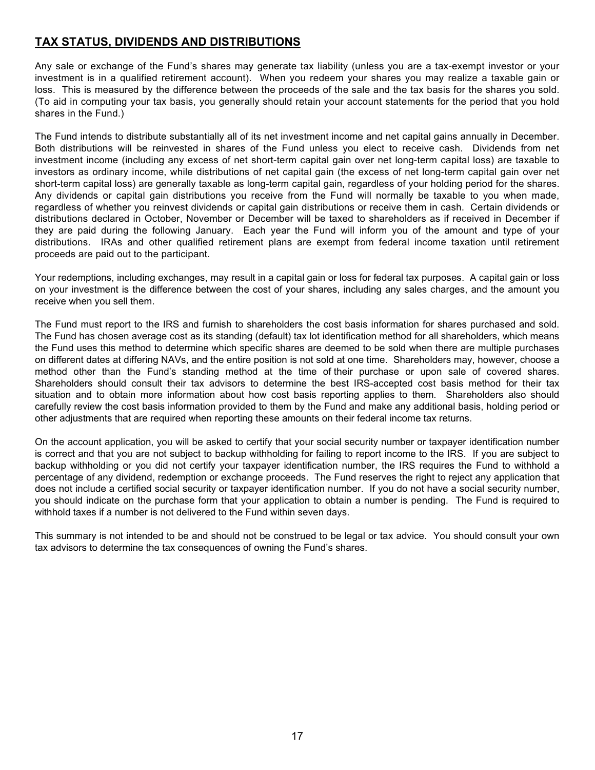## **TAX STATUS, DIVIDENDS AND DISTRIBUTIONS**

Any sale or exchange of the Fund's shares may generate tax liability (unless you are a tax-exempt investor or your investment is in a qualified retirement account). When you redeem your shares you may realize a taxable gain or loss. This is measured by the difference between the proceeds of the sale and the tax basis for the shares you sold. (To aid in computing your tax basis, you generally should retain your account statements for the period that you hold shares in the Fund.)

The Fund intends to distribute substantially all of its net investment income and net capital gains annually in December. Both distributions will be reinvested in shares of the Fund unless you elect to receive cash. Dividends from net investment income (including any excess of net short-term capital gain over net long-term capital loss) are taxable to investors as ordinary income, while distributions of net capital gain (the excess of net long-term capital gain over net short-term capital loss) are generally taxable as long-term capital gain, regardless of your holding period for the shares. Any dividends or capital gain distributions you receive from the Fund will normally be taxable to you when made, regardless of whether you reinvest dividends or capital gain distributions or receive them in cash. Certain dividends or distributions declared in October, November or December will be taxed to shareholders as if received in December if they are paid during the following January. Each year the Fund will inform you of the amount and type of your distributions. IRAs and other qualified retirement plans are exempt from federal income taxation until retirement proceeds are paid out to the participant.

Your redemptions, including exchanges, may result in a capital gain or loss for federal tax purposes. A capital gain or loss on your investment is the difference between the cost of your shares, including any sales charges, and the amount you receive when you sell them.

The Fund must report to the IRS and furnish to shareholders the cost basis information for shares purchased and sold. The Fund has chosen average cost as its standing (default) tax lot identification method for all shareholders, which means the Fund uses this method to determine which specific shares are deemed to be sold when there are multiple purchases on different dates at differing NAVs, and the entire position is not sold at one time. Shareholders may, however, choose a method other than the Fund's standing method at the time of their purchase or upon sale of covered shares. Shareholders should consult their tax advisors to determine the best IRS-accepted cost basis method for their tax situation and to obtain more information about how cost basis reporting applies to them. Shareholders also should carefully review the cost basis information provided to them by the Fund and make any additional basis, holding period or other adjustments that are required when reporting these amounts on their federal income tax returns.

On the account application, you will be asked to certify that your social security number or taxpayer identification number is correct and that you are not subject to backup withholding for failing to report income to the IRS. If you are subject to backup withholding or you did not certify your taxpayer identification number, the IRS requires the Fund to withhold a percentage of any dividend, redemption or exchange proceeds. The Fund reserves the right to reject any application that does not include a certified social security or taxpayer identification number. If you do not have a social security number, you should indicate on the purchase form that your application to obtain a number is pending. The Fund is required to withhold taxes if a number is not delivered to the Fund within seven days.

<span id="page-18-0"></span>This summary is not intended to be and should not be construed to be legal or tax advice. You should consult your own tax advisors to determine the tax consequences of owning the Fund's shares.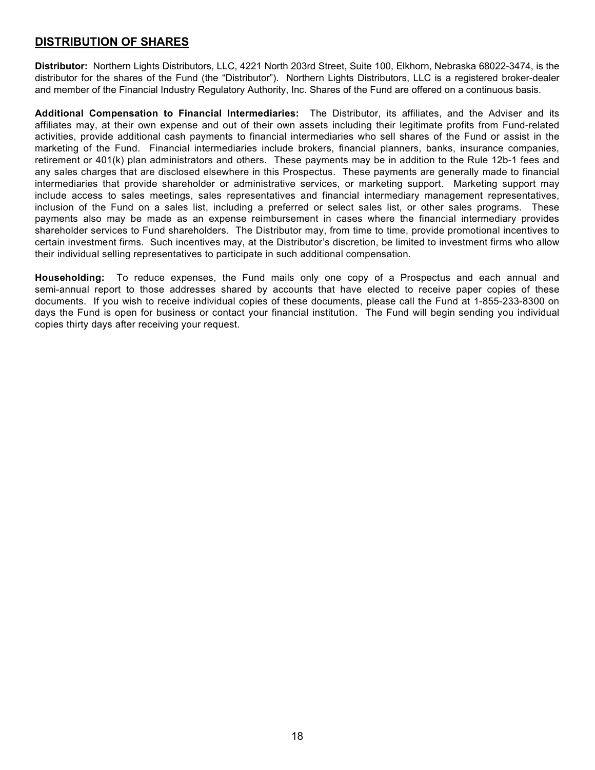## **DISTRIBUTION OF SHARES**

<span id="page-19-0"></span>**Distributor:** Northern Lights Distributors, LLC, 4221 North 203rd Street, Suite 100, Elkhorn, Nebraska 68022-3474, is the distributor for the shares of the Fund (the "Distributor"). Northern Lights Distributors, LLC is a registered broker-dealer and member of the Financial Industry Regulatory Authority, Inc. Shares of the Fund are offered on a continuous basis.

<span id="page-19-1"></span>**Additional Compensation to Financial Intermediaries:** The Distributor, its affiliates, and the Adviser and its affiliates may, at their own expense and out of their own assets including their legitimate profits from Fund-related activities, provide additional cash payments to financial intermediaries who sell shares of the Fund or assist in the marketing of the Fund. Financial intermediaries include brokers, financial planners, banks, insurance companies, retirement or 401(k) plan administrators and others. These payments may be in addition to the Rule 12b-1 fees and any sales charges that are disclosed elsewhere in this Prospectus. These payments are generally made to financial intermediaries that provide shareholder or administrative services, or marketing support. Marketing support may include access to sales meetings, sales representatives and financial intermediary management representatives, inclusion of the Fund on a sales list, including a preferred or select sales list, or other sales programs. These payments also may be made as an expense reimbursement in cases where the financial intermediary provides shareholder services to Fund shareholders. The Distributor may, from time to time, provide promotional incentives to certain investment firms. Such incentives may, at the Distributor's discretion, be limited to investment firms who allow their individual selling representatives to participate in such additional compensation.

<span id="page-19-2"></span>**Householding:** To reduce expenses, the Fund mails only one copy of a Prospectus and each annual and semi-annual report to those addresses shared by accounts that have elected to receive paper copies of these documents. If you wish to receive individual copies of these documents, please call the Fund at 1-855-233-8300 on days the Fund is open for business or contact your financial institution. The Fund will begin sending you individual copies thirty days after receiving your request.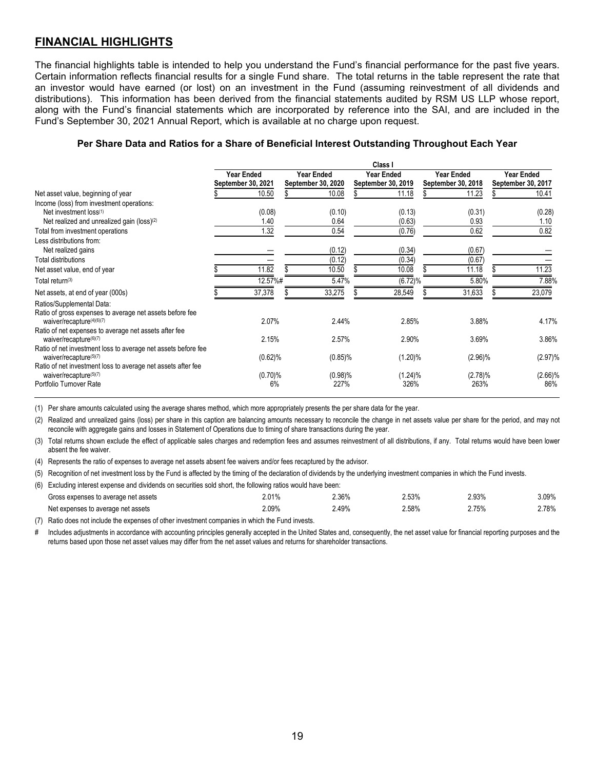## <span id="page-20-0"></span>**FINANCIAL HIGHLIGHTS**

The financial highlights table is intended to help you understand the Fund's financial performance for the past five years. Certain information reflects financial results for a single Fund share. The total returns in the table represent the rate that an investor would have earned (or lost) on an investment in the Fund (assuming reinvestment of all dividends and distributions). This information has been derived from the financial statements audited by RSM US LLP whose report, along with the Fund's financial statements which are incorporated by reference into the SAI, and are included in the Fund's September 30, 2021 Annual Report, which is available at no charge upon request.

#### **Per Share Data and Ratios for a Share of Beneficial Interest Outstanding Throughout Each Year**

| Class I                                                       |        |                                  |                               |                                         |                                                          |                                         |                                  |                                         |                                                          |
|---------------------------------------------------------------|--------|----------------------------------|-------------------------------|-----------------------------------------|----------------------------------------------------------|-----------------------------------------|----------------------------------|-----------------------------------------|----------------------------------------------------------|
|                                                               |        |                                  |                               |                                         |                                                          |                                         |                                  |                                         | Year Ended                                               |
|                                                               |        |                                  |                               |                                         |                                                          |                                         |                                  |                                         | September 30, 2017                                       |
|                                                               | 10.50  |                                  | 10.08                         |                                         | 11.18                                                    |                                         | 11.23                            |                                         | 10.41                                                    |
|                                                               |        |                                  |                               |                                         |                                                          |                                         |                                  |                                         |                                                          |
|                                                               | (0.08) |                                  | (0.10)                        |                                         | (0.13)                                                   |                                         | (0.31)                           |                                         | (0.28)                                                   |
|                                                               | 1.40   |                                  | 0.64                          |                                         | (0.63)                                                   |                                         | 0.93                             |                                         | 1.10                                                     |
|                                                               | 1.32   |                                  | 0.54                          |                                         | (0.76)                                                   |                                         | 0.62                             |                                         | 0.82                                                     |
|                                                               |        |                                  |                               |                                         |                                                          |                                         |                                  |                                         |                                                          |
|                                                               |        |                                  | (0.12)                        |                                         | (0.34)                                                   |                                         | (0.67)                           |                                         |                                                          |
|                                                               |        |                                  | (0.12)                        |                                         | (0.34)                                                   |                                         | (0.67)                           |                                         |                                                          |
|                                                               | 11.82  |                                  | 10.50                         |                                         | 10.08                                                    |                                         | 11.18                            |                                         | 11.23                                                    |
|                                                               |        |                                  |                               |                                         |                                                          |                                         |                                  |                                         | 7.88%                                                    |
|                                                               | 37,378 |                                  | 33,275                        |                                         | 28,549                                                   |                                         | 31,633                           |                                         | 23,079                                                   |
|                                                               | 2.07%  |                                  |                               |                                         | 2.85%                                                    |                                         |                                  |                                         | 4.17%                                                    |
|                                                               | 2.15%  |                                  |                               |                                         | 2.90%                                                    |                                         |                                  |                                         | 3.86%                                                    |
| Ratio of net investment loss to average net assets before fee |        |                                  |                               |                                         |                                                          |                                         |                                  |                                         | (2.97)%                                                  |
|                                                               | 6%     |                                  |                               |                                         | 326%                                                     |                                         |                                  |                                         | $(2.66)\%$<br>86%                                        |
|                                                               |        | Year Ended<br>September 30, 2021 | 12.57%#<br>(0.62)%<br>(0.70)% | <b>Year Ended</b><br>September 30, 2020 | 5.47%<br>2.44%<br>2.57%<br>$(0.85)\%$<br>(0.98)%<br>227% | <b>Year Ended</b><br>September 30, 2019 | (6.72)%<br>$(1.20)\%$<br>(1.24)% | <b>Year Ended</b><br>September 30, 2018 | 5.80%<br>3.88%<br>3.69%<br>$(2.96)\%$<br>(2.78)%<br>263% |

(1) Per share amounts calculated using the average shares method, which more appropriately presents the per share data for the year.

(2) Realized and unrealized gains (loss) per share in this caption are balancing amounts necessary to reconcile the change in net assets value per share for the period, and may not reconcile with aggregate gains and losses in Statement of Operations due to timing of share transactions during the year.

(3) Total returns shown exclude the effect of applicable sales charges and redemption fees and assumes reinvestment of all distributions, if any. Total returns would have been lower absent the fee waiver.

(4) Represents the ratio of expenses to average net assets absent fee waivers and/or fees recaptured by the advisor.

(5) Recognition of net investment loss by the Fund is affected by the timing of the declaration of dividends by the underlying investment companies in which the Fund invests.

| (6) Excluding interest expense and dividends on securities sold short, the following ratios would have been: |       |       |          |       |       |
|--------------------------------------------------------------------------------------------------------------|-------|-------|----------|-------|-------|
| Gross expenses to average net assets                                                                         | 2.01% | 2.36% | $2.53\%$ | 2.93% | 3.09% |
| Net expenses to average net assets                                                                           | 2.09% | 2.49% | $2.58\%$ | 2.75% | 2.78% |

(7) Ratio does not include the expenses of other investment companies in which the Fund invests.

# Includes adjustments in accordance with accounting principles generally accepted in the United States and, consequently, the net asset value for financial reporting purposes and the returns based upon those net asset values may differ from the net asset values and returns for shareholder transactions.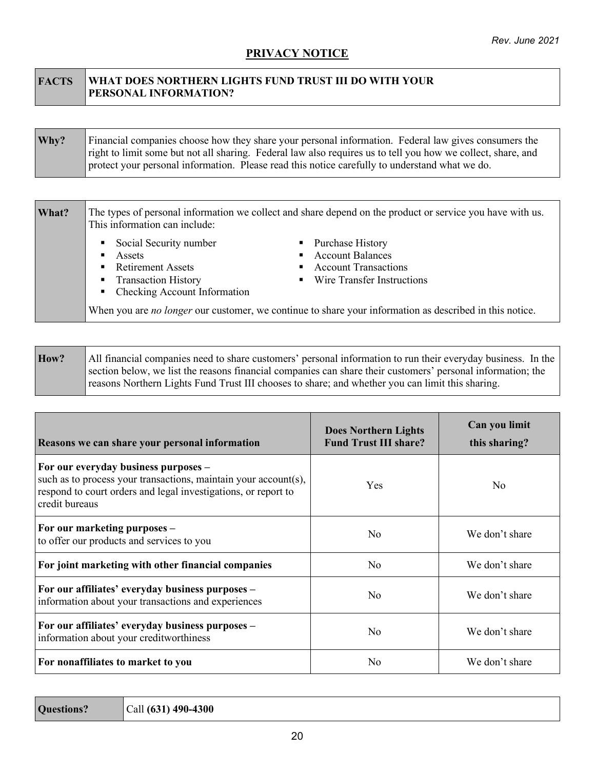## **PRIVACY NOTICE**

### <span id="page-21-0"></span>**FACTS WHAT DOES NORTHERN LIGHTS FUND TRUST III DO WITH YOUR PERSONAL INFORMATION?**

| Why? | Financial companies choose how they share your personal information. Federal law gives consumers the         |
|------|--------------------------------------------------------------------------------------------------------------|
|      | right to limit some but not all sharing. Federal law also requires us to tell you how we collect, share, and |
|      | protect your personal information. Please read this notice carefully to understand what we do.               |

| What? | This information can include:                                                                                                                               | The types of personal information we collect and share depend on the product or service you have with us.      |
|-------|-------------------------------------------------------------------------------------------------------------------------------------------------------------|----------------------------------------------------------------------------------------------------------------|
|       | Social Security number<br>Assets<br>٠<br><b>Retirement Assets</b><br>$\blacksquare$<br><b>Transaction History</b><br>٠<br>Checking Account Information<br>٠ | • Purchase History<br>• Account Balances<br>• Account Transactions<br>• Wire Transfer Instructions             |
|       |                                                                                                                                                             | When you are <i>no longer</i> our customer, we continue to share your information as described in this notice. |

| How? | All financial companies need to share customers' personal information to run their everyday business. In the |
|------|--------------------------------------------------------------------------------------------------------------|
|      | section below, we list the reasons financial companies can share their customers' personal information; the  |
|      | reasons Northern Lights Fund Trust III chooses to share; and whether you can limit this sharing.             |

| Reasons we can share your personal information                                                                                                                                              | <b>Does Northern Lights</b><br><b>Fund Trust III share?</b> | Can you limit<br>this sharing? |  |
|---------------------------------------------------------------------------------------------------------------------------------------------------------------------------------------------|-------------------------------------------------------------|--------------------------------|--|
| For our everyday business purposes -<br>such as to process your transactions, maintain your account(s),<br>respond to court orders and legal investigations, or report to<br>credit bureaus | Yes                                                         | N <sub>0</sub>                 |  |
| For our marketing purposes -<br>to offer our products and services to you                                                                                                                   | N <sub>0</sub>                                              | We don't share                 |  |
| For joint marketing with other financial companies                                                                                                                                          | N <sub>o</sub>                                              | We don't share                 |  |
| For our affiliates' everyday business purposes -<br>information about your transactions and experiences                                                                                     | N <sub>0</sub>                                              | We don't share                 |  |
| For our affiliates' everyday business purposes -<br>information about your creditworthiness                                                                                                 | N <sub>o</sub>                                              | We don't share                 |  |
| For nonaffiliates to market to you                                                                                                                                                          | N <sub>0</sub>                                              | We don't share                 |  |

| Questions? | $ Call (631) 490-4300$ |
|------------|------------------------|
|------------|------------------------|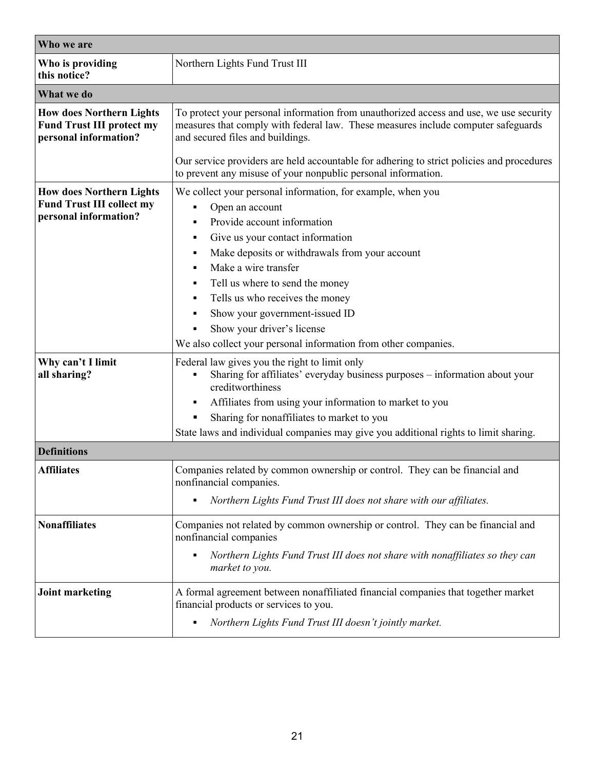| Who we are                                                                                   |                                                                                                                                                                                                                                                                                                                                                                                                                                           |  |  |  |  |
|----------------------------------------------------------------------------------------------|-------------------------------------------------------------------------------------------------------------------------------------------------------------------------------------------------------------------------------------------------------------------------------------------------------------------------------------------------------------------------------------------------------------------------------------------|--|--|--|--|
| Who is providing<br>this notice?                                                             | Northern Lights Fund Trust III                                                                                                                                                                                                                                                                                                                                                                                                            |  |  |  |  |
| What we do                                                                                   |                                                                                                                                                                                                                                                                                                                                                                                                                                           |  |  |  |  |
| <b>How does Northern Lights</b><br><b>Fund Trust III protect my</b><br>personal information? | To protect your personal information from unauthorized access and use, we use security<br>measures that comply with federal law. These measures include computer safeguards<br>and secured files and buildings.<br>Our service providers are held accountable for adhering to strict policies and procedures                                                                                                                              |  |  |  |  |
|                                                                                              | to prevent any misuse of your nonpublic personal information.                                                                                                                                                                                                                                                                                                                                                                             |  |  |  |  |
| <b>How does Northern Lights</b><br><b>Fund Trust III collect my</b><br>personal information? | We collect your personal information, for example, when you<br>Open an account<br>Provide account information<br>Give us your contact information<br>٠<br>Make deposits or withdrawals from your account<br>Make a wire transfer<br>Tell us where to send the money<br>Tells us who receives the money<br>Show your government-issued ID<br>Show your driver's license<br>We also collect your personal information from other companies. |  |  |  |  |
| Why can't I limit<br>all sharing?                                                            | Federal law gives you the right to limit only<br>Sharing for affiliates' everyday business purposes - information about your<br>creditworthiness<br>Affiliates from using your information to market to you<br>٠<br>Sharing for nonaffiliates to market to you<br>State laws and individual companies may give you additional rights to limit sharing.                                                                                    |  |  |  |  |
| <b>Definitions</b>                                                                           |                                                                                                                                                                                                                                                                                                                                                                                                                                           |  |  |  |  |
| <b>Affiliates</b>                                                                            | Companies related by common ownership or control. They can be financial and<br>nonfinancial companies.<br>Northern Lights Fund Trust III does not share with our affiliates.                                                                                                                                                                                                                                                              |  |  |  |  |
| <b>Nonaffiliates</b>                                                                         | Companies not related by common ownership or control. They can be financial and<br>nonfinancial companies<br>Northern Lights Fund Trust III does not share with nonaffiliates so they can<br>market to you.                                                                                                                                                                                                                               |  |  |  |  |
| <b>Joint marketing</b>                                                                       | A formal agreement between nonaffiliated financial companies that together market<br>financial products or services to you.<br>Northern Lights Fund Trust III doesn't jointly market.                                                                                                                                                                                                                                                     |  |  |  |  |